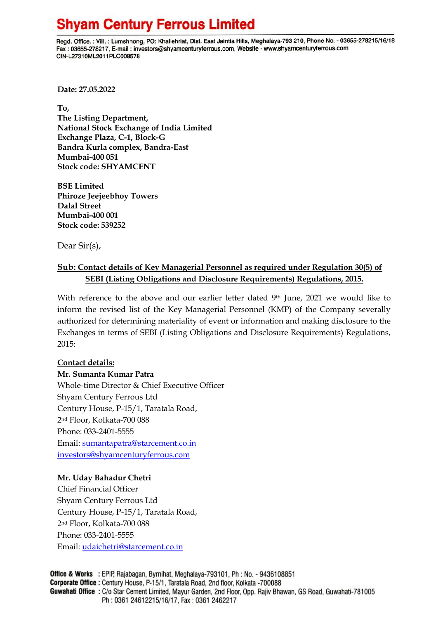## **Shyam Century Ferrous Limited**

Regd. Office.: Vill.: Lumshnong, PO: Khaliehriat, Dist. East Jaintia Hills, Meghalaya-793 210, Phone No. - 03655-278215/16/18 Fax: 03655-278217, E-mail: investors@shyamcenturyferrous.com, Website - www.shyamcenturyferrous.com CIN-L27310ML2011PLC008578

**Date: 27.05.2022**

**To, The Listing Department, National Stock Exchange of India Limited Exchange Plaza, C-1, Block-G Bandra Kurla complex, Bandra-East Mumbai-400 051 Stock code: SHYAMCENT**

**BSE Limited Phiroze Jeejeebhoy Towers Dalal Street Mumbai-400 001 Stock code: 539252**

Dear Sir(s),

### **Sub: Contact details of Key Managerial Personnel as required under Regulation 30(5) of SEBI (Listing Obligations and Disclosure Requirements) Regulations, 2015.**

With reference to the above and our earlier letter dated 9th June, 2021 we would like to inform the revised list of the Key Managerial Personnel (KMP) of the Company severally authorized for determining materiality of event or information and making disclosure to the Exchanges in terms of SEBI (Listing Obligations and Disclosure Requirements) Regulations, 2015:

#### **Contact details:**

**Mr. Sumanta Kumar Patra** Whole-time Director & Chief Executive Officer Shyam Century Ferrous Ltd Century House, P-15/1, Taratala Road, 2nd Floor, Kolkata-700 088 Phone: 033-2401-5555 Email: [sumantapatra@starcement.co.in](mailto:sumantapatra@starcement.co.in) [investors@shyamcenturyferrous.com](mailto:investors@shyamcenturyferrous.com)

#### **Mr. Uday Bahadur Chetri**

Chief Financial Officer Shyam Century Ferrous Ltd Century House, P-15/1, Taratala Road, 2nd Floor, Kolkata-700 088 Phone: 033-2401-5555 Email: [udaichetri@starcement.co.in](mailto:udaichetri@starcement.co.in)

Office & Works : EPIP, Rajabagan, Byrnihat, Meghalaya-793101, Ph : No. - 9436108851 Corporate Office : Century House, P-15/1, Taratala Road, 2nd floor, Kolkata -700088 Guwahati Office: C/o Star Cement Limited, Mayur Garden, 2nd Floor, Opp. Rajiv Bhawan, GS Road, Guwahati-781005 Ph: 0361 24612215/16/17, Fax: 0361 2462217